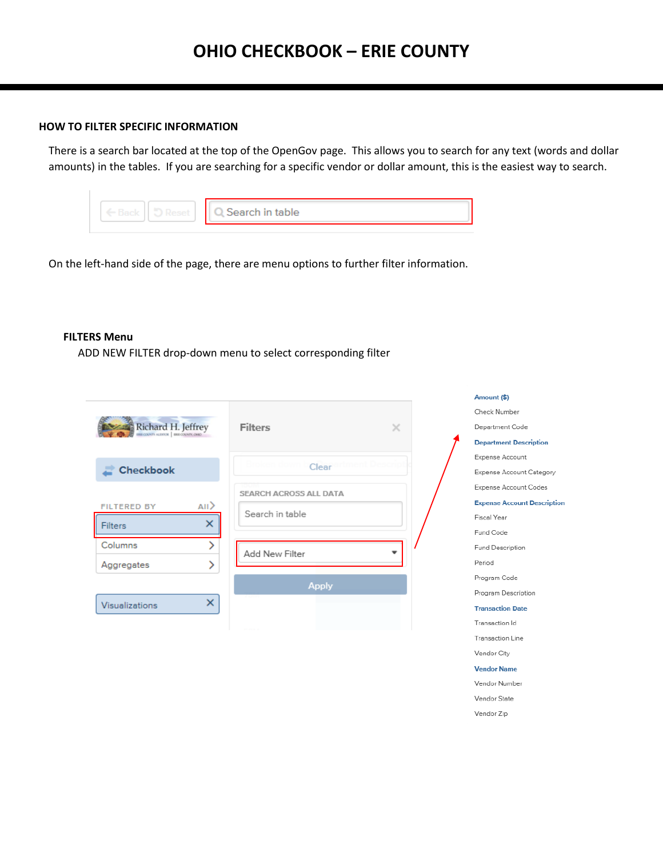### **HOW TO FILTER SPECIFIC INFORMATION**

There is a search bar located at the top of the OpenGov page. This allows you to search for any text (words and dollar amounts) in the tables. If you are searching for a specific vendor or dollar amount, this is the easiest way to search.

|  | Search in table |
|--|-----------------|
|  |                 |

On the left-hand side of the page, there are menu options to further filter information.

### **FILTERS Menu**

ADD NEW FILTER drop-down menu to select corresponding filter

|                                        |                        | Amount (\$)                        |
|----------------------------------------|------------------------|------------------------------------|
|                                        |                        | Check Number                       |
| Richard H. Jeffrey                     | <b>Filters</b><br>×    | Department Code                    |
|                                        |                        | <b>Department Description</b>      |
|                                        |                        | Expense Account                    |
| <b>Checkbook</b>                       | Clear                  | Expense Account Category           |
|                                        | SEARCH ACROSS ALL DATA | Expense Account Codes              |
| AII <sub>2</sub><br><b>FILTERED BY</b> |                        | <b>Expense Account Description</b> |
| ×<br><b>Filters</b>                    | Search in table        | Fiscal Year                        |
|                                        |                        | Fund Code                          |
| Columns                                | Add New Filter         | Fund Description                   |
| Aggregates                             |                        | Period                             |
|                                        | <b>Apply</b>           | Program Code                       |
| ×                                      |                        | Program Description                |
| Visualizations                         |                        | <b>Transaction Date</b>            |
|                                        |                        | Transaction Id                     |
|                                        |                        | Transaction Line                   |

Vendor City **Vendor Name** Vendor Number Vendor State Vendor Zip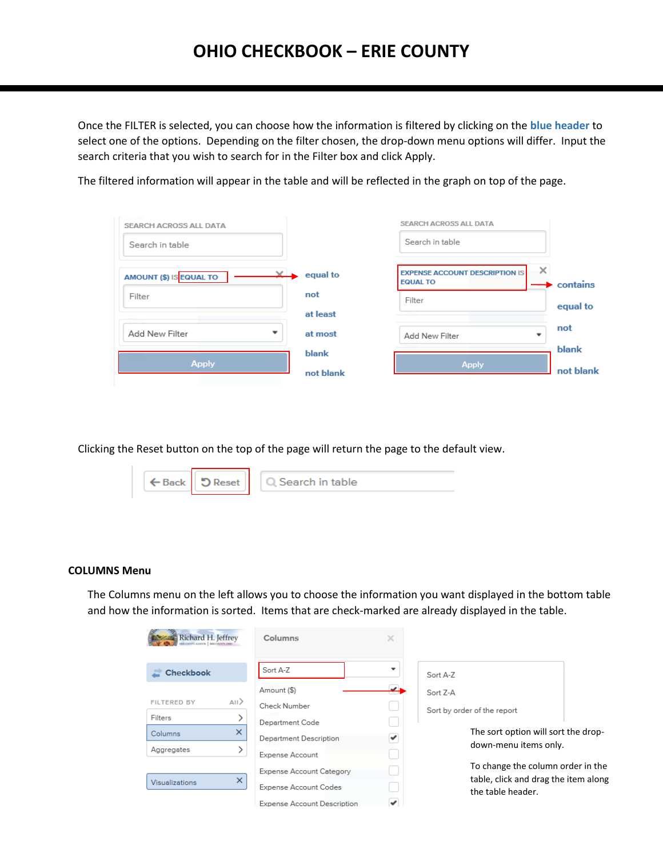Once the FILTER is selected, you can choose how the information is filtered by clicking on the **blue header** to select one of the options. Depending on the filter chosen, the drop-down menu options will differ. Input the search criteria that you wish to search for in the Filter box and click Apply.

The filtered information will appear in the table and will be reflected in the graph on top of the page.

| SEARCH ACROSS ALL DATA                     |              | SEARCH ACROSS ALL DATA                                        |           |
|--------------------------------------------|--------------|---------------------------------------------------------------|-----------|
| Search in table                            |              | Search in table                                               |           |
| $\times$<br>AMOUNT (\$) IS EQUAL TO        | equal to     | ×<br><b>EXPENSE ACCOUNT DESCRIPTION IS</b><br><b>EQUAL TO</b> | contains  |
| Filter                                     | not          | Filter                                                        |           |
|                                            | at least     |                                                               | equal to  |
| Add New Filter<br>$\overline{\phantom{a}}$ | at most      | Add New Filter<br>$\mathbf -$                                 | not       |
|                                            | <b>blank</b> |                                                               | blank     |
| <b>Apply</b>                               | not blank    | <b>Apply</b>                                                  | not blank |

Clicking the Reset button on the top of the page will return the page to the default view.

| ← Back   5 Reset   Q Search in table |
|--------------------------------------|
|--------------------------------------|

### **COLUMNS Menu**

The Columns menu on the left allows you to choose the information you want displayed in the bottom table and how the information is sorted. Items that are check-marked are already displayed in the table.

| Richard H. Jeffrey<br>DENTY AUDITOR   ERIT COUNTY, OHIO | Columns                     | ×                        |                                                           |  |
|---------------------------------------------------------|-----------------------------|--------------------------|-----------------------------------------------------------|--|
| <b>Checkbook</b>                                        | Sort A-Z                    | $\overline{\phantom{a}}$ | Sort A-Z                                                  |  |
|                                                         | Amount (\$)                 | دهد                      | Sort Z-A                                                  |  |
| $\langle$ All<br><b>FILTERED BY</b>                     | Check Number                |                          | Sort by order of the report                               |  |
| <b>Filters</b>                                          | Department Code             |                          |                                                           |  |
| $\times$<br>Columns                                     | Department Description      | ✔                        | The sort option will sort the drop-                       |  |
| Aggregates                                              | Expense Account             |                          | down-menu items only.                                     |  |
|                                                         | Expense Account Category    |                          | To change the column order in the                         |  |
| $\times$<br>Visualizations                              | Expense Account Codes       |                          | table, click and drag the item along<br>the table header. |  |
|                                                         | Expense Account Description | v                        |                                                           |  |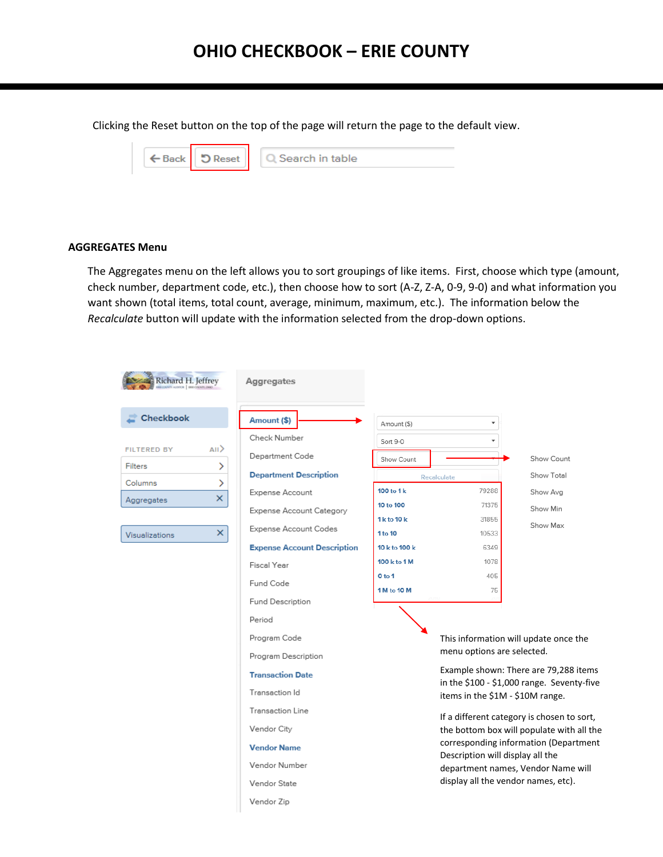Clicking the Reset button on the top of the page will return the page to the default view.

| $\leftarrow$ Back $\left\  \right\ $ | Reset | <b>Q</b> Search in table |
|--------------------------------------|-------|--------------------------|
|                                      |       |                          |

### **AGGREGATES Menu**

The Aggregates menu on the left allows you to sort groupings of like items. First, choose which type (amount, check number, department code, etc.), then choose how to sort (A-Z, Z-A, 0-9, 9-0) and what information you want shown (total items, total count, average, minimum, maximum, etc.). The information below the *Recalculate* button will update with the information selected from the drop-down options.

| Richard H. Jeffrey                                                                                                                                    | Aggregates                                                                                                                                                                                                                                                                                                                                                                                                                            |                                                                                                                                                      |                                                                                                                                                                                    |                                                                                                                                                                                                                                                                                                                                                                                                               |
|-------------------------------------------------------------------------------------------------------------------------------------------------------|---------------------------------------------------------------------------------------------------------------------------------------------------------------------------------------------------------------------------------------------------------------------------------------------------------------------------------------------------------------------------------------------------------------------------------------|------------------------------------------------------------------------------------------------------------------------------------------------------|------------------------------------------------------------------------------------------------------------------------------------------------------------------------------------|---------------------------------------------------------------------------------------------------------------------------------------------------------------------------------------------------------------------------------------------------------------------------------------------------------------------------------------------------------------------------------------------------------------|
| <b>Checkbook</b><br>AII <sup>&gt;</sup><br><b>FILTERED BY</b><br><b>Filters</b><br>⋋<br>Columns<br>⋗<br>×<br>Aggregates<br>$\times$<br>Visualizations | Amount (\$)<br>Check Number<br>Department Code<br><b>Department Description</b><br>Expense Account<br>Expense Account Category<br>Expense Account Codes<br><b>Expense Account Description</b><br>Fiscal Year<br>Fund Code<br>Fund Description<br>Period<br>Program Code<br>Program Description<br><b>Transaction Date</b><br>Transaction Id<br>Transaction Line<br>Vendor City<br><b>Vendor Name</b><br>Vendor Number<br>Vendor State | Amount (\$)<br>Sort 9-0<br>Show Count<br>100 to 1 k<br>10 to 100<br>1 k to 10 k<br>1 to 10<br>10 k to 100 k<br>100 k to 1 M<br>0 to 1<br>1 M to 10 M | Recalculate<br>79288<br>71375<br>31855<br>10533<br>6349<br>1078<br>405<br>75<br>menu options are selected.<br>items in the \$1M - \$10M range.<br>Description will display all the | Show Count<br>Show Total<br>Show Avg<br>Show Min<br>Show Max<br>This information will update once the<br>Example shown: There are 79,288 items<br>in the \$100 - \$1,000 range. Seventy-five<br>If a different category is chosen to sort,<br>the bottom box will populate with all the<br>corresponding information (Department<br>department names, Vendor Name will<br>display all the vendor names, etc). |
|                                                                                                                                                       | Vendor Zip                                                                                                                                                                                                                                                                                                                                                                                                                            |                                                                                                                                                      |                                                                                                                                                                                    |                                                                                                                                                                                                                                                                                                                                                                                                               |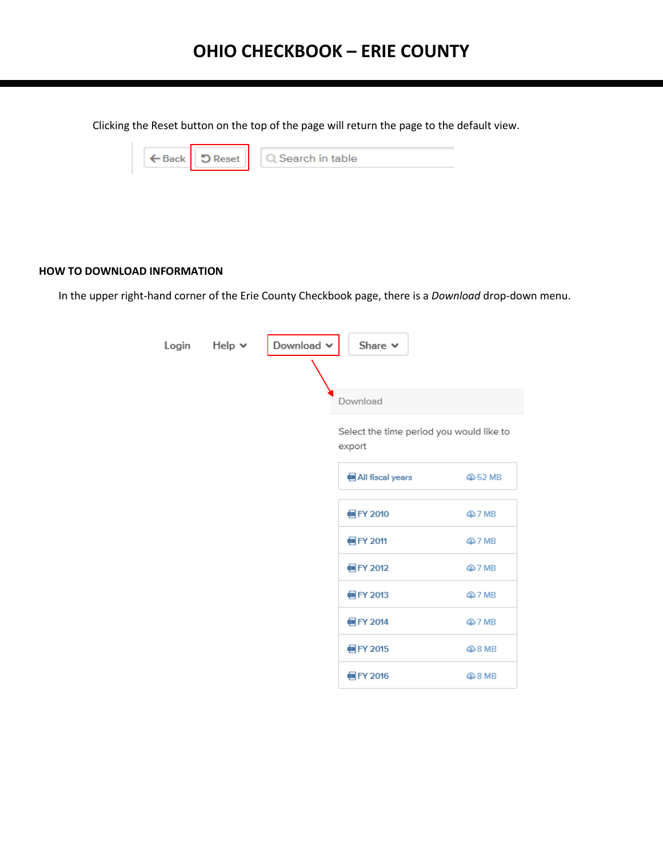Clicking the Reset button on the top of the page will return the page to the default view.

| ← Back D Reset | $\Box$ Search in table |
|----------------|------------------------|
|                |                        |

### **HOW TO DOWNLOAD INFORMATION**

In the upper right-hand corner of the Erie County Checkbook page, there is a *Download* drop-down menu.

 $\overline{a}$ 

| Login | Help v | Download $\backsim$ | Share $\vee$                                       |         |
|-------|--------|---------------------|----------------------------------------------------|---------|
|       |        |                     |                                                    |         |
|       |        |                     | Download                                           |         |
|       |        |                     | Select the time period you would like to<br>export |         |
|       |        |                     | <b>M</b> All fiscal years                          | 4052 MB |
|       |        |                     |                                                    |         |
|       |        |                     | eFY 2010                                           | 407 MB  |
|       |        |                     | eFY 2011                                           | 407 MB  |
|       |        |                     | eFY 2012                                           | 407 MB  |
|       |        |                     | e FY 2013                                          | 407 MB  |
|       |        |                     | e FY 2014                                          | 407 MB  |
|       |        |                     | eFY 2015                                           | 48 MB   |
|       |        |                     | eFY 2016                                           | 48 MB   |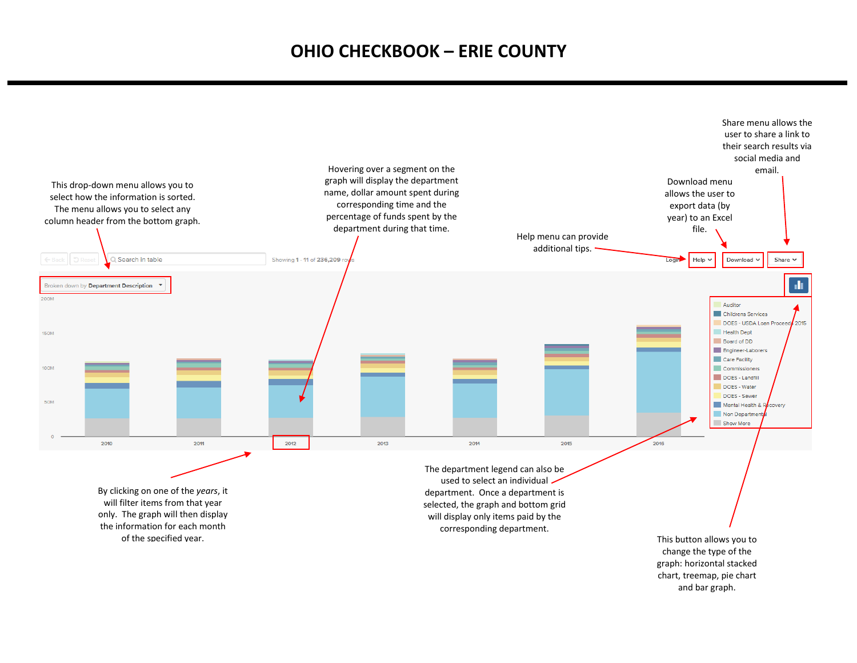